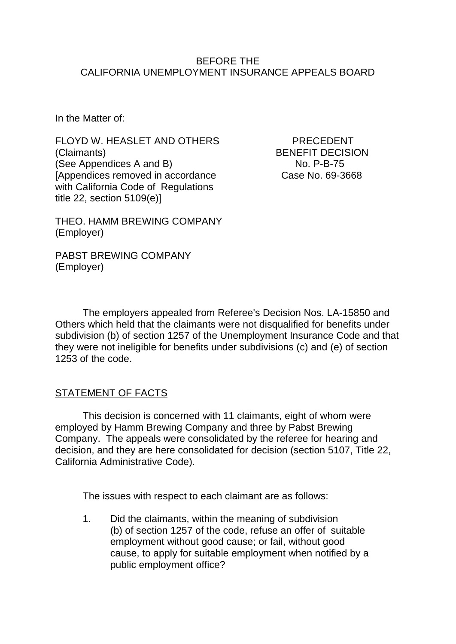#### BEFORE THE CALIFORNIA UNEMPLOYMENT INSURANCE APPEALS BOARD

In the Matter of:

FLOYD W. HEASLET AND OTHERS PRECEDENT (Claimants) BENEFIT DECISION (See Appendices A and B) No. P-B-75 [Appendices removed in accordance Case No. 69-3668 with California Code of Regulations title 22, section 5109(e)]

THEO. HAMM BREWING COMPANY (Employer)

PABST BREWING COMPANY (Employer)

The employers appealed from Referee's Decision Nos. LA-15850 and Others which held that the claimants were not disqualified for benefits under subdivision (b) of section 1257 of the Unemployment Insurance Code and that they were not ineligible for benefits under subdivisions (c) and (e) of section 1253 of the code.

# **STATEMENT OF FACTS**

This decision is concerned with 11 claimants, eight of whom were employed by Hamm Brewing Company and three by Pabst Brewing Company. The appeals were consolidated by the referee for hearing and decision, and they are here consolidated for decision (section 5107, Title 22, California Administrative Code).

The issues with respect to each claimant are as follows:

1. Did the claimants, within the meaning of subdivision (b) of section 1257 of the code, refuse an offer of suitable employment without good cause; or fail, without good cause, to apply for suitable employment when notified by a public employment office?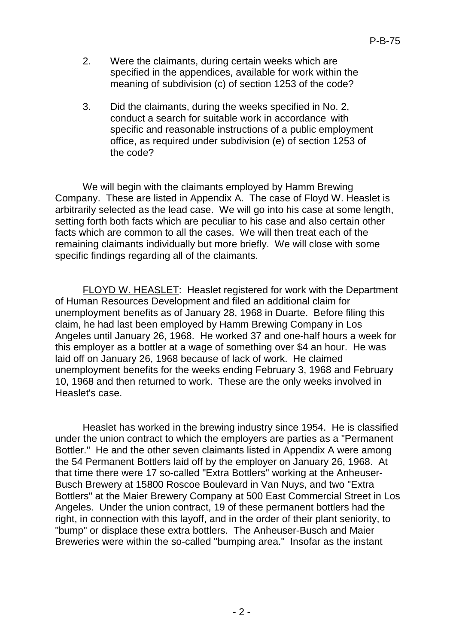- 2. Were the claimants, during certain weeks which are specified in the appendices, available for work within the meaning of subdivision (c) of section 1253 of the code?
- 3. Did the claimants, during the weeks specified in No. 2, conduct a search for suitable work in accordance with specific and reasonable instructions of a public employment office, as required under subdivision (e) of section 1253 of the code?

We will begin with the claimants employed by Hamm Brewing Company. These are listed in Appendix A. The case of Floyd W. Heaslet is arbitrarily selected as the lead case. We will go into his case at some length, setting forth both facts which are peculiar to his case and also certain other facts which are common to all the cases. We will then treat each of the remaining claimants individually but more briefly. We will close with some specific findings regarding all of the claimants.

FLOYD W. HEASLET: Heaslet registered for work with the Department of Human Resources Development and filed an additional claim for unemployment benefits as of January 28, 1968 in Duarte. Before filing this claim, he had last been employed by Hamm Brewing Company in Los Angeles until January 26, 1968. He worked 37 and one-half hours a week for this employer as a bottler at a wage of something over \$4 an hour. He was laid off on January 26, 1968 because of lack of work. He claimed unemployment benefits for the weeks ending February 3, 1968 and February 10, 1968 and then returned to work. These are the only weeks involved in Heaslet's case.

Heaslet has worked in the brewing industry since 1954. He is classified under the union contract to which the employers are parties as a "Permanent Bottler." He and the other seven claimants listed in Appendix A were among the 54 Permanent Bottlers laid off by the employer on January 26, 1968. At that time there were 17 so-called "Extra Bottlers" working at the Anheuser-Busch Brewery at 15800 Roscoe Boulevard in Van Nuys, and two "Extra Bottlers" at the Maier Brewery Company at 500 East Commercial Street in Los Angeles. Under the union contract, 19 of these permanent bottlers had the right, in connection with this layoff, and in the order of their plant seniority, to "bump" or displace these extra bottlers. The Anheuser-Busch and Maier Breweries were within the so-called "bumping area." Insofar as the instant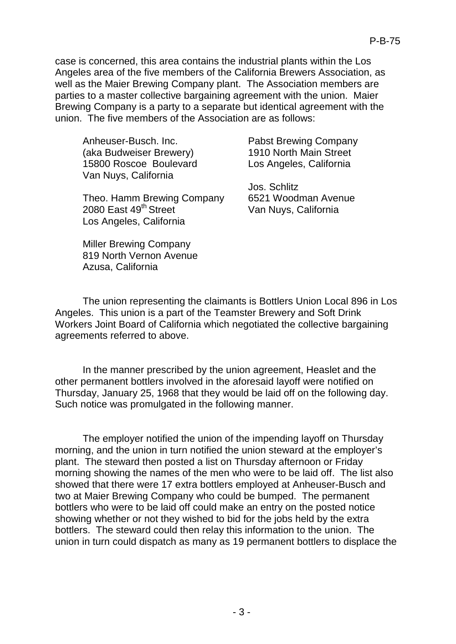case is concerned, this area contains the industrial plants within the Los Angeles area of the five members of the California Brewers Association, as well as the Maier Brewing Company plant. The Association members are parties to a master collective bargaining agreement with the union. Maier Brewing Company is a party to a separate but identical agreement with the union. The five members of the Association are as follows:

Anheuser-Busch. Inc. Pabst Brewing Company (aka Budweiser Brewery) 1910 North Main Street 15800 Roscoe Boulevard Los Angeles, California Van Nuys, California

Theo. Hamm Brewing Company 6521 Woodman Avenue 2080 East 49<sup>th</sup> Street Van Nuys, California Los Angeles, California

Miller Brewing Company 819 North Vernon Avenue Azusa, California

Jos. Schlitz

The union representing the claimants is Bottlers Union Local 896 in Los Angeles. This union is a part of the Teamster Brewery and Soft Drink Workers Joint Board of California which negotiated the collective bargaining agreements referred to above.

In the manner prescribed by the union agreement, Heaslet and the other permanent bottlers involved in the aforesaid layoff were notified on Thursday, January 25, 1968 that they would be laid off on the following day. Such notice was promulgated in the following manner.

The employer notified the union of the impending layoff on Thursday morning, and the union in turn notified the union steward at the employer's plant. The steward then posted a list on Thursday afternoon or Friday morning showing the names of the men who were to be laid off. The list also showed that there were 17 extra bottlers employed at Anheuser-Busch and two at Maier Brewing Company who could be bumped. The permanent bottlers who were to be laid off could make an entry on the posted notice showing whether or not they wished to bid for the jobs held by the extra bottlers. The steward could then relay this information to the union. The union in turn could dispatch as many as 19 permanent bottlers to displace the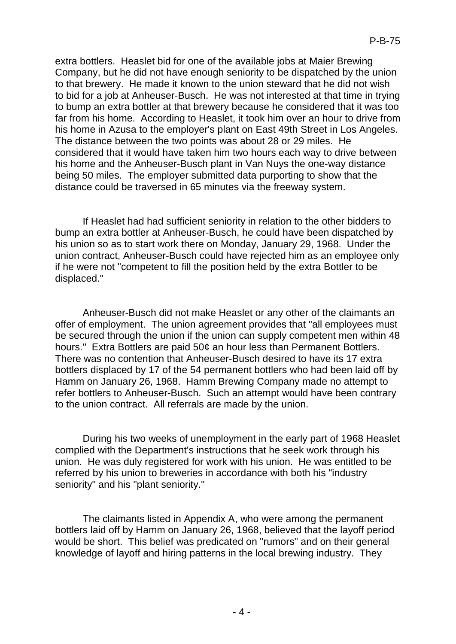extra bottlers. Heaslet bid for one of the available jobs at Maier Brewing Company, but he did not have enough seniority to be dispatched by the union to that brewery. He made it known to the union steward that he did not wish to bid for a job at Anheuser-Busch. He was not interested at that time in trying to bump an extra bottler at that brewery because he considered that it was too far from his home. According to Heaslet, it took him over an hour to drive from his home in Azusa to the employer's plant on East 49th Street in Los Angeles. The distance between the two points was about 28 or 29 miles. He considered that it would have taken him two hours each way to drive between his home and the Anheuser-Busch plant in Van Nuys the one-way distance being 50 miles. The employer submitted data purporting to show that the distance could be traversed in 65 minutes via the freeway system.

If Heaslet had had sufficient seniority in relation to the other bidders to bump an extra bottler at Anheuser-Busch, he could have been dispatched by his union so as to start work there on Monday, January 29, 1968. Under the union contract, Anheuser-Busch could have rejected him as an employee only if he were not "competent to fill the position held by the extra Bottler to be displaced."

Anheuser-Busch did not make Heaslet or any other of the claimants an offer of employment. The union agreement provides that "all employees must be secured through the union if the union can supply competent men within 48 hours." Extra Bottlers are paid 50¢ an hour less than Permanent Bottlers. There was no contention that Anheuser-Busch desired to have its 17 extra bottlers displaced by 17 of the 54 permanent bottlers who had been laid off by Hamm on January 26, 1968. Hamm Brewing Company made no attempt to refer bottlers to Anheuser-Busch. Such an attempt would have been contrary to the union contract. All referrals are made by the union.

During his two weeks of unemployment in the early part of 1968 Heaslet complied with the Department's instructions that he seek work through his union. He was duly registered for work with his union. He was entitled to be referred by his union to breweries in accordance with both his "industry seniority" and his "plant seniority."

The claimants listed in Appendix A, who were among the permanent bottlers laid off by Hamm on January 26, 1968, believed that the layoff period would be short. This belief was predicated on "rumors" and on their general knowledge of layoff and hiring patterns in the local brewing industry. They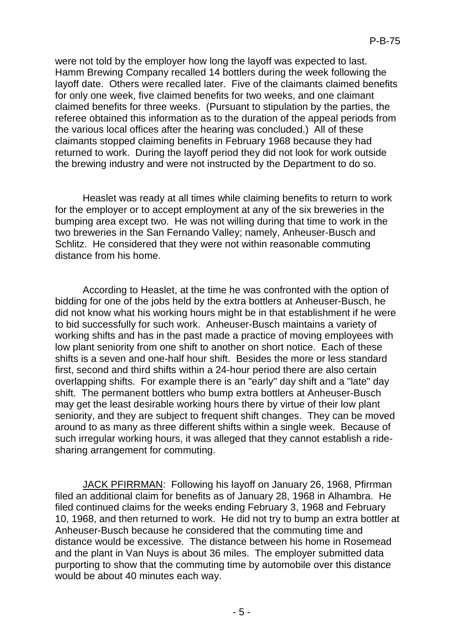were not told by the employer how long the layoff was expected to last. Hamm Brewing Company recalled 14 bottlers during the week following the layoff date. Others were recalled later. Five of the claimants claimed benefits for only one week, five claimed benefits for two weeks, and one claimant claimed benefits for three weeks. (Pursuant to stipulation by the parties, the referee obtained this information as to the duration of the appeal periods from the various local offices after the hearing was concluded.) All of these claimants stopped claiming benefits in February 1968 because they had returned to work. During the layoff period they did not look for work outside the brewing industry and were not instructed by the Department to do so.

Heaslet was ready at all times while claiming benefits to return to work for the employer or to accept employment at any of the six breweries in the bumping area except two. He was not willing during that time to work in the two breweries in the San Fernando Valley; namely, Anheuser-Busch and Schlitz. He considered that they were not within reasonable commuting distance from his home.

According to Heaslet, at the time he was confronted with the option of bidding for one of the jobs held by the extra bottlers at Anheuser-Busch, he did not know what his working hours might be in that establishment if he were to bid successfully for such work. Anheuser-Busch maintains a variety of working shifts and has in the past made a practice of moving employees with low plant seniority from one shift to another on short notice. Each of these shifts is a seven and one-half hour shift. Besides the more or less standard first, second and third shifts within a 24-hour period there are also certain overlapping shifts. For example there is an "early" day shift and a "late" day shift. The permanent bottlers who bump extra bottlers at Anheuser-Busch may get the least desirable working hours there by virtue of their low plant seniority, and they are subject to frequent shift changes. They can be moved around to as many as three different shifts within a single week. Because of such irregular working hours, it was alleged that they cannot establish a ridesharing arrangement for commuting.

JACK PFIRRMAN: Following his layoff on January 26, 1968, Pfirrman filed an additional claim for benefits as of January 28, 1968 in Alhambra. He filed continued claims for the weeks ending February 3, 1968 and February 10, 1968, and then returned to work. He did not try to bump an extra bottler at Anheuser-Busch because he considered that the commuting time and distance would be excessive. The distance between his home in Rosemead and the plant in Van Nuys is about 36 miles. The employer submitted data purporting to show that the commuting time by automobile over this distance would be about 40 minutes each way.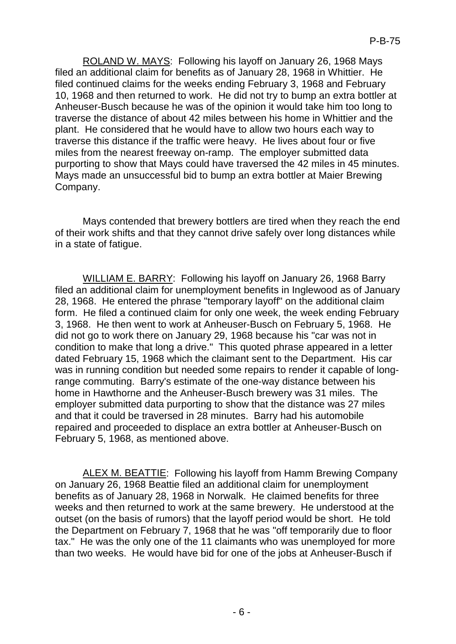ROLAND W. MAYS: Following his layoff on January 26, 1968 Mays filed an additional claim for benefits as of January 28, 1968 in Whittier. He filed continued claims for the weeks ending February 3, 1968 and February 10, 1968 and then returned to work. He did not try to bump an extra bottler at Anheuser-Busch because he was of the opinion it would take him too long to traverse the distance of about 42 miles between his home in Whittier and the plant. He considered that he would have to allow two hours each way to traverse this distance if the traffic were heavy. He lives about four or five miles from the nearest freeway on-ramp. The employer submitted data purporting to show that Mays could have traversed the 42 miles in 45 minutes. Mays made an unsuccessful bid to bump an extra bottler at Maier Brewing Company.

Mays contended that brewery bottlers are tired when they reach the end of their work shifts and that they cannot drive safely over long distances while in a state of fatigue.

WILLIAM E. BARRY: Following his layoff on January 26, 1968 Barry filed an additional claim for unemployment benefits in Inglewood as of January 28, 1968. He entered the phrase "temporary layoff" on the additional claim form. He filed a continued claim for only one week, the week ending February 3, 1968. He then went to work at Anheuser-Busch on February 5, 1968. He did not go to work there on January 29, 1968 because his "car was not in condition to make that long a drive." This quoted phrase appeared in a letter dated February 15, 1968 which the claimant sent to the Department. His car was in running condition but needed some repairs to render it capable of longrange commuting. Barry's estimate of the one-way distance between his home in Hawthorne and the Anheuser-Busch brewery was 31 miles. The employer submitted data purporting to show that the distance was 27 miles and that it could be traversed in 28 minutes. Barry had his automobile repaired and proceeded to displace an extra bottler at Anheuser-Busch on February 5, 1968, as mentioned above.

ALEX M. BEATTIE: Following his layoff from Hamm Brewing Company on January 26, 1968 Beattie filed an additional claim for unemployment benefits as of January 28, 1968 in Norwalk. He claimed benefits for three weeks and then returned to work at the same brewery. He understood at the outset (on the basis of rumors) that the layoff period would be short. He told the Department on February 7, 1968 that he was "off temporarily due to floor tax." He was the only one of the 11 claimants who was unemployed for more than two weeks. He would have bid for one of the jobs at Anheuser-Busch if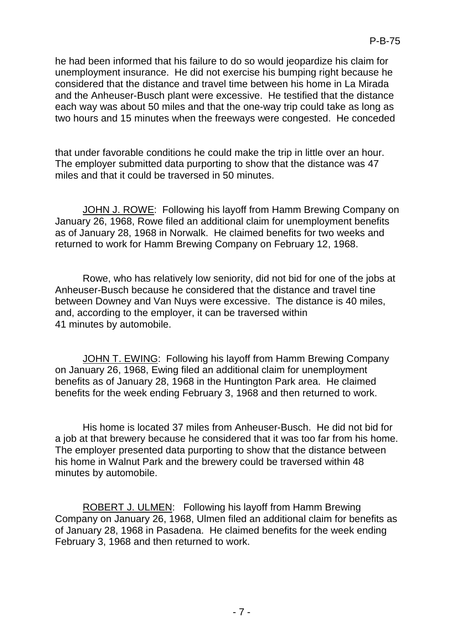he had been informed that his failure to do so would jeopardize his claim for unemployment insurance. He did not exercise his bumping right because he considered that the distance and travel time between his home in La Mirada and the Anheuser-Busch plant were excessive. He testified that the distance each way was about 50 miles and that the one-way trip could take as long as two hours and 15 minutes when the freeways were congested. He conceded

that under favorable conditions he could make the trip in little over an hour. The employer submitted data purporting to show that the distance was 47 miles and that it could be traversed in 50 minutes.

JOHN J. ROWE: Following his layoff from Hamm Brewing Company on January 26, 1968, Rowe filed an additional claim for unemployment benefits as of January 28, 1968 in Norwalk. He claimed benefits for two weeks and returned to work for Hamm Brewing Company on February 12, 1968.

Rowe, who has relatively low seniority, did not bid for one of the jobs at Anheuser-Busch because he considered that the distance and travel tine between Downey and Van Nuys were excessive. The distance is 40 miles, and, according to the employer, it can be traversed within 41 minutes by automobile.

JOHN T. EWING: Following his layoff from Hamm Brewing Company on January 26, 1968, Ewing filed an additional claim for unemployment benefits as of January 28, 1968 in the Huntington Park area. He claimed benefits for the week ending February 3, 1968 and then returned to work.

His home is located 37 miles from Anheuser-Busch. He did not bid for a job at that brewery because he considered that it was too far from his home. The employer presented data purporting to show that the distance between his home in Walnut Park and the brewery could be traversed within 48 minutes by automobile.

ROBERT J. ULMEN: Following his layoff from Hamm Brewing Company on January 26, 1968, Ulmen filed an additional claim for benefits as of January 28, 1968 in Pasadena. He claimed benefits for the week ending February 3, 1968 and then returned to work.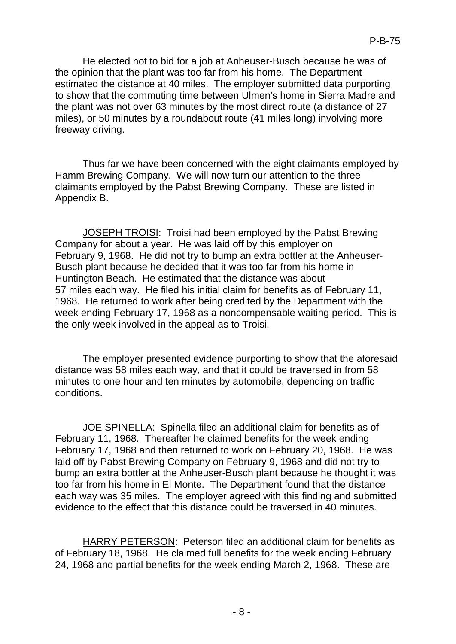He elected not to bid for a job at Anheuser-Busch because he was of the opinion that the plant was too far from his home. The Department estimated the distance at 40 miles. The employer submitted data purporting to show that the commuting time between Ulmen's home in Sierra Madre and the plant was not over 63 minutes by the most direct route (a distance of 27 miles), or 50 minutes by a roundabout route (41 miles long) involving more freeway driving.

Thus far we have been concerned with the eight claimants employed by Hamm Brewing Company. We will now turn our attention to the three claimants employed by the Pabst Brewing Company. These are listed in Appendix B.

JOSEPH TROISI: Troisi had been employed by the Pabst Brewing Company for about a year. He was laid off by this employer on February 9, 1968. He did not try to bump an extra bottler at the Anheuser-Busch plant because he decided that it was too far from his home in Huntington Beach. He estimated that the distance was about 57 miles each way. He filed his initial claim for benefits as of February 11, 1968. He returned to work after being credited by the Department with the week ending February 17, 1968 as a noncompensable waiting period. This is the only week involved in the appeal as to Troisi.

The employer presented evidence purporting to show that the aforesaid distance was 58 miles each way, and that it could be traversed in from 58 minutes to one hour and ten minutes by automobile, depending on traffic conditions.

JOE SPINELLA: Spinella filed an additional claim for benefits as of February 11, 1968. Thereafter he claimed benefits for the week ending February 17, 1968 and then returned to work on February 20, 1968. He was laid off by Pabst Brewing Company on February 9, 1968 and did not try to bump an extra bottler at the Anheuser-Busch plant because he thought it was too far from his home in El Monte. The Department found that the distance each way was 35 miles. The employer agreed with this finding and submitted evidence to the effect that this distance could be traversed in 40 minutes.

HARRY PETERSON: Peterson filed an additional claim for benefits as of February 18, 1968. He claimed full benefits for the week ending February 24, 1968 and partial benefits for the week ending March 2, 1968. These are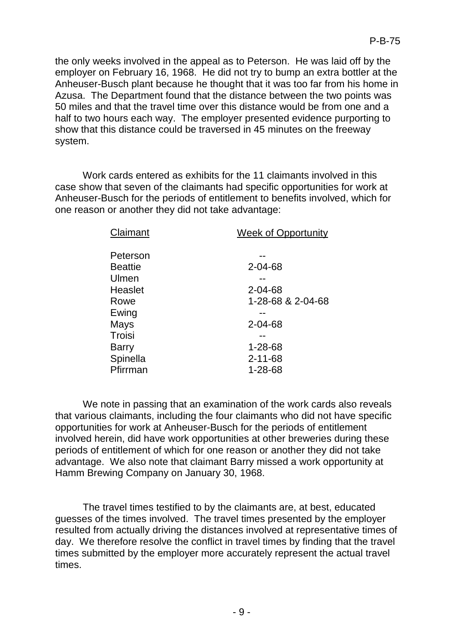the only weeks involved in the appeal as to Peterson. He was laid off by the employer on February 16, 1968. He did not try to bump an extra bottler at the Anheuser-Busch plant because he thought that it was too far from his home in Azusa. The Department found that the distance between the two points was 50 miles and that the travel time over this distance would be from one and a half to two hours each way. The employer presented evidence purporting to show that this distance could be traversed in 45 minutes on the freeway system.

Work cards entered as exhibits for the 11 claimants involved in this case show that seven of the claimants had specific opportunities for work at Anheuser-Busch for the periods of entitlement to benefits involved, which for one reason or another they did not take advantage:

| Claimant       | Week of Opportunity |
|----------------|---------------------|
| Peterson       |                     |
| <b>Beattie</b> | $2 - 04 - 68$       |
| Ulmen          |                     |
| Heaslet        | $2 - 04 - 68$       |
| Rowe           | 1-28-68 & 2-04-68   |
| Ewing          |                     |
| Mays           | $2 - 04 - 68$       |
| Troisi         |                     |
| <b>Barry</b>   | $1 - 28 - 68$       |
| Spinella       | $2 - 11 - 68$       |
| Pfirrman       | 1-28-68             |
|                |                     |

We note in passing that an examination of the work cards also reveals that various claimants, including the four claimants who did not have specific opportunities for work at Anheuser-Busch for the periods of entitlement involved herein, did have work opportunities at other breweries during these periods of entitlement of which for one reason or another they did not take advantage. We also note that claimant Barry missed a work opportunity at Hamm Brewing Company on January 30, 1968.

The travel times testified to by the claimants are, at best, educated guesses of the times involved. The travel times presented by the employer resulted from actually driving the distances involved at representative times of day. We therefore resolve the conflict in travel times by finding that the travel times submitted by the employer more accurately represent the actual travel times.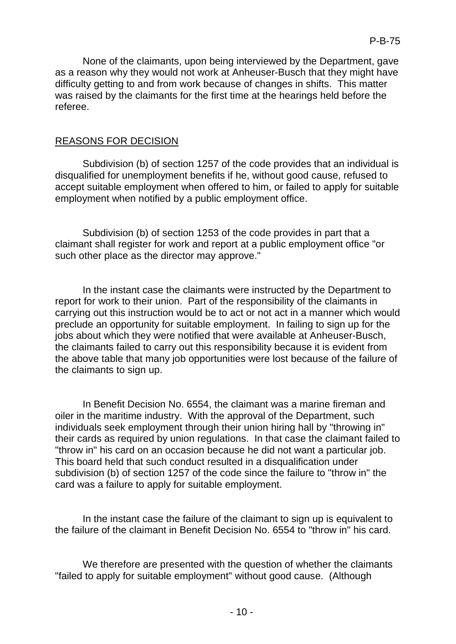None of the claimants, upon being interviewed by the Department, gave as a reason why they would not work at Anheuser-Busch that they might have difficulty getting to and from work because of changes in shifts. This matter was raised by the claimants for the first time at the hearings held before the referee.

#### REASONS FOR DECISION

Subdivision (b) of section 1257 of the code provides that an individual is disqualified for unemployment benefits if he, without good cause, refused to accept suitable employment when offered to him, or failed to apply for suitable employment when notified by a public employment office.

Subdivision (b) of section 1253 of the code provides in part that a claimant shall register for work and report at a public employment office "or such other place as the director may approve."

In the instant case the claimants were instructed by the Department to report for work to their union. Part of the responsibility of the claimants in carrying out this instruction would be to act or not act in a manner which would preclude an opportunity for suitable employment. In failing to sign up for the jobs about which they were notified that were available at Anheuser-Busch, the claimants failed to carry out this responsibility because it is evident from the above table that many job opportunities were lost because of the failure of the claimants to sign up.

In Benefit Decision No. 6554, the claimant was a marine fireman and oiler in the maritime industry. With the approval of the Department, such individuals seek employment through their union hiring hall by "throwing in" their cards as required by union regulations. In that case the claimant failed to "throw in" his card on an occasion because he did not want a particular job. This board held that such conduct resulted in a disqualification under subdivision (b) of section 1257 of the code since the failure to "throw in" the card was a failure to apply for suitable employment.

In the instant case the failure of the claimant to sign up is equivalent to the failure of the claimant in Benefit Decision No. 6554 to "throw in" his card.

We therefore are presented with the question of whether the claimants "failed to apply for suitable employment" without good cause. (Although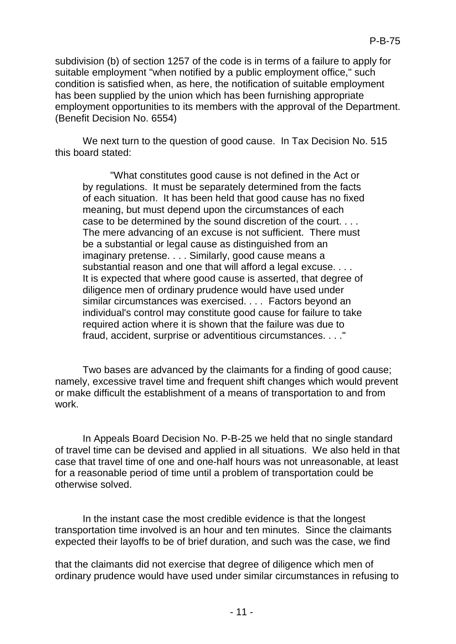subdivision (b) of section 1257 of the code is in terms of a failure to apply for suitable employment "when notified by a public employment office," such condition is satisfied when, as here, the notification of suitable employment has been supplied by the union which has been furnishing appropriate employment opportunities to its members with the approval of the Department. (Benefit Decision No. 6554)

We next turn to the question of good cause. In Tax Decision No. 515 this board stated:

"What constitutes good cause is not defined in the Act or by regulations. It must be separately determined from the facts of each situation. It has been held that good cause has no fixed meaning, but must depend upon the circumstances of each case to be determined by the sound discretion of the court. . . . The mere advancing of an excuse is not sufficient. There must be a substantial or legal cause as distinguished from an imaginary pretense. . . . Similarly, good cause means a substantial reason and one that will afford a legal excuse. . . . It is expected that where good cause is asserted, that degree of diligence men of ordinary prudence would have used under similar circumstances was exercised. . . . Factors beyond an individual's control may constitute good cause for failure to take required action where it is shown that the failure was due to fraud, accident, surprise or adventitious circumstances. . . ."

Two bases are advanced by the claimants for a finding of good cause; namely, excessive travel time and frequent shift changes which would prevent or make difficult the establishment of a means of transportation to and from work.

In Appeals Board Decision No. P-B-25 we held that no single standard of travel time can be devised and applied in all situations. We also held in that case that travel time of one and one-half hours was not unreasonable, at least for a reasonable period of time until a problem of transportation could be otherwise solved.

In the instant case the most credible evidence is that the longest transportation time involved is an hour and ten minutes. Since the claimants expected their layoffs to be of brief duration, and such was the case, we find

that the claimants did not exercise that degree of diligence which men of ordinary prudence would have used under similar circumstances in refusing to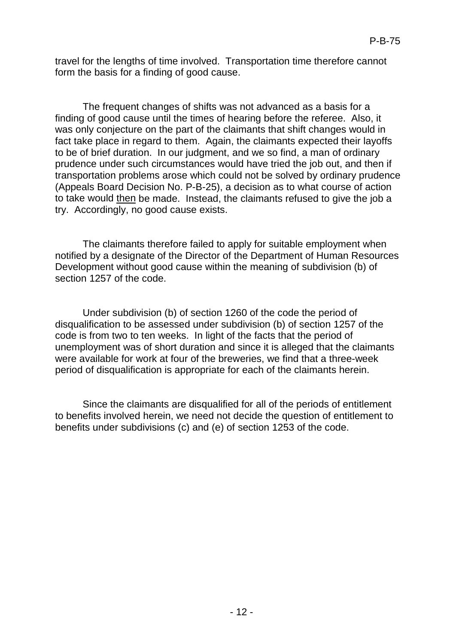travel for the lengths of time involved. Transportation time therefore cannot form the basis for a finding of good cause.

The frequent changes of shifts was not advanced as a basis for a finding of good cause until the times of hearing before the referee. Also, it was only conjecture on the part of the claimants that shift changes would in fact take place in regard to them. Again, the claimants expected their layoffs to be of brief duration. In our judgment, and we so find, a man of ordinary prudence under such circumstances would have tried the job out, and then if transportation problems arose which could not be solved by ordinary prudence (Appeals Board Decision No. P-B-25), a decision as to what course of action to take would then be made. Instead, the claimants refused to give the job a try. Accordingly, no good cause exists.

The claimants therefore failed to apply for suitable employment when notified by a designate of the Director of the Department of Human Resources Development without good cause within the meaning of subdivision (b) of section 1257 of the code.

Under subdivision (b) of section 1260 of the code the period of disqualification to be assessed under subdivision (b) of section 1257 of the code is from two to ten weeks. In light of the facts that the period of unemployment was of short duration and since it is alleged that the claimants were available for work at four of the breweries, we find that a three-week period of disqualification is appropriate for each of the claimants herein.

Since the claimants are disqualified for all of the periods of entitlement to benefits involved herein, we need not decide the question of entitlement to benefits under subdivisions (c) and (e) of section 1253 of the code.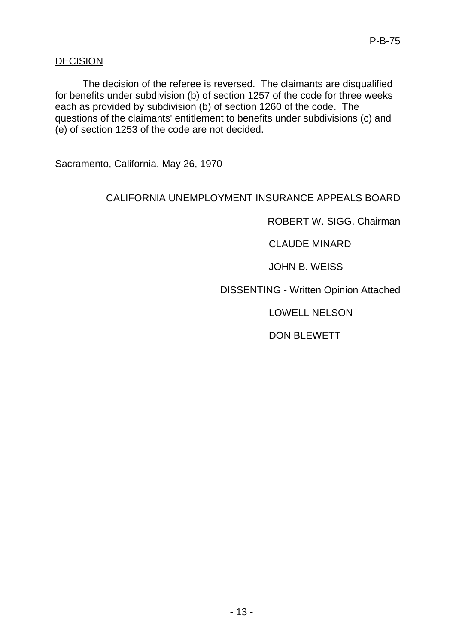## **DECISION**

The decision of the referee is reversed. The claimants are disqualified for benefits under subdivision (b) of section 1257 of the code for three weeks each as provided by subdivision (b) of section 1260 of the code. The questions of the claimants' entitlement to benefits under subdivisions (c) and (e) of section 1253 of the code are not decided.

Sacramento, California, May 26, 1970

## CALIFORNIA UNEMPLOYMENT INSURANCE APPEALS BOARD

ROBERT W. SIGG. Chairman

CLAUDE MINARD

JOHN B. WEISS

DISSENTING - Written Opinion Attached

LOWELL NELSON

DON BLEWETT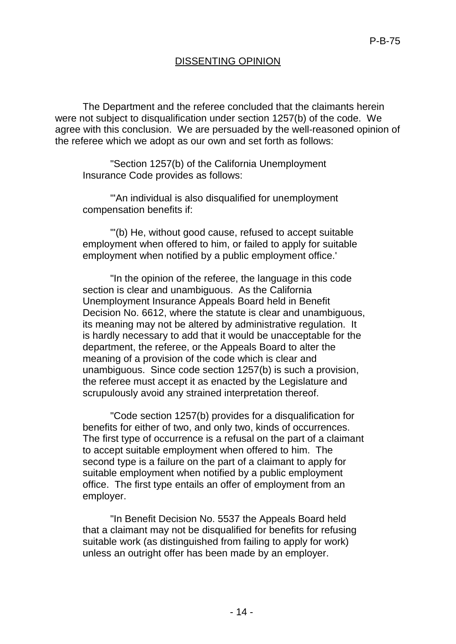## DISSENTING OPINION

The Department and the referee concluded that the claimants herein were not subject to disqualification under section 1257(b) of the code. We agree with this conclusion. We are persuaded by the well-reasoned opinion of the referee which we adopt as our own and set forth as follows:

"Section 1257(b) of the California Unemployment Insurance Code provides as follows:

"'An individual is also disqualified for unemployment compensation benefits if:

"'(b) He, without good cause, refused to accept suitable employment when offered to him, or failed to apply for suitable employment when notified by a public employment office.'

"In the opinion of the referee, the language in this code section is clear and unambiguous. As the California Unemployment Insurance Appeals Board held in Benefit Decision No. 6612, where the statute is clear and unambiguous, its meaning may not be altered by administrative regulation. It is hardly necessary to add that it would be unacceptable for the department, the referee, or the Appeals Board to alter the meaning of a provision of the code which is clear and unambiguous. Since code section 1257(b) is such a provision, the referee must accept it as enacted by the Legislature and scrupulously avoid any strained interpretation thereof.

"Code section 1257(b) provides for a disqualification for benefits for either of two, and only two, kinds of occurrences. The first type of occurrence is a refusal on the part of a claimant to accept suitable employment when offered to him. The second type is a failure on the part of a claimant to apply for suitable employment when notified by a public employment office. The first type entails an offer of employment from an employer.

"In Benefit Decision No. 5537 the Appeals Board held that a claimant may not be disqualified for benefits for refusing suitable work (as distinguished from failing to apply for work) unless an outright offer has been made by an employer.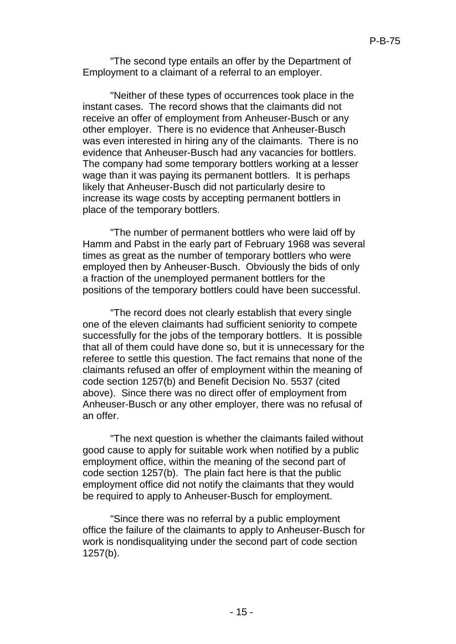"The second type entails an offer by the Department of Employment to a claimant of a referral to an employer.

"Neither of these types of occurrences took place in the instant cases. The record shows that the claimants did not receive an offer of employment from Anheuser-Busch or any other employer. There is no evidence that Anheuser-Busch was even interested in hiring any of the claimants. There is no evidence that Anheuser-Busch had any vacancies for bottlers. The company had some temporary bottlers working at a lesser wage than it was paying its permanent bottlers. It is perhaps likely that Anheuser-Busch did not particularly desire to increase its wage costs by accepting permanent bottlers in place of the temporary bottlers.

"The number of permanent bottlers who were laid off by Hamm and Pabst in the early part of February 1968 was several times as great as the number of temporary bottlers who were employed then by Anheuser-Busch. Obviously the bids of only a fraction of the unemployed permanent bottlers for the positions of the temporary bottlers could have been successful.

"The record does not clearly establish that every single one of the eleven claimants had sufficient seniority to compete successfully for the jobs of the temporary bottlers. It is possible that all of them could have done so, but it is unnecessary for the referee to settle this question. The fact remains that none of the claimants refused an offer of employment within the meaning of code section 1257(b) and Benefit Decision No. 5537 (cited above). Since there was no direct offer of employment from Anheuser-Busch or any other employer, there was no refusal of an offer.

"The next question is whether the claimants failed without good cause to apply for suitable work when notified by a public employment office, within the meaning of the second part of code section 1257(b). The plain fact here is that the public employment office did not notify the claimants that they would be required to apply to Anheuser-Busch for employment.

"Since there was no referral by a public employment office the failure of the claimants to apply to Anheuser-Busch for work is nondisqualitying under the second part of code section 1257(b).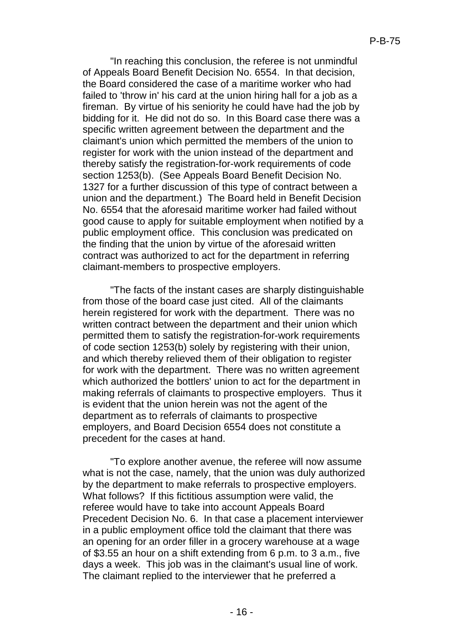"In reaching this conclusion, the referee is not unmindful of Appeals Board Benefit Decision No. 6554. In that decision, the Board considered the case of a maritime worker who had failed to 'throw in' his card at the union hiring hall for a job as a fireman. By virtue of his seniority he could have had the job by bidding for it. He did not do so. In this Board case there was a specific written agreement between the department and the claimant's union which permitted the members of the union to register for work with the union instead of the department and thereby satisfy the registration-for-work requirements of code section 1253(b). (See Appeals Board Benefit Decision No. 1327 for a further discussion of this type of contract between a union and the department.) The Board held in Benefit Decision No. 6554 that the aforesaid maritime worker had failed without good cause to apply for suitable employment when notified by a public employment office. This conclusion was predicated on the finding that the union by virtue of the aforesaid written contract was authorized to act for the department in referring claimant-members to prospective employers.

"The facts of the instant cases are sharply distinguishable from those of the board case just cited. All of the claimants herein registered for work with the department. There was no written contract between the department and their union which permitted them to satisfy the registration-for-work requirements of code section 1253(b) solely by registering with their union, and which thereby relieved them of their obligation to register for work with the department. There was no written agreement which authorized the bottlers' union to act for the department in making referrals of claimants to prospective employers. Thus it is evident that the union herein was not the agent of the department as to referrals of claimants to prospective employers, and Board Decision 6554 does not constitute a precedent for the cases at hand.

"To explore another avenue, the referee will now assume what is not the case, namely, that the union was duly authorized by the department to make referrals to prospective employers. What follows? If this fictitious assumption were valid, the referee would have to take into account Appeals Board Precedent Decision No. 6. In that case a placement interviewer in a public employment office told the claimant that there was an opening for an order filler in a grocery warehouse at a wage of \$3.55 an hour on a shift extending from 6 p.m. to 3 a.m., five days a week. This job was in the claimant's usual line of work. The claimant replied to the interviewer that he preferred a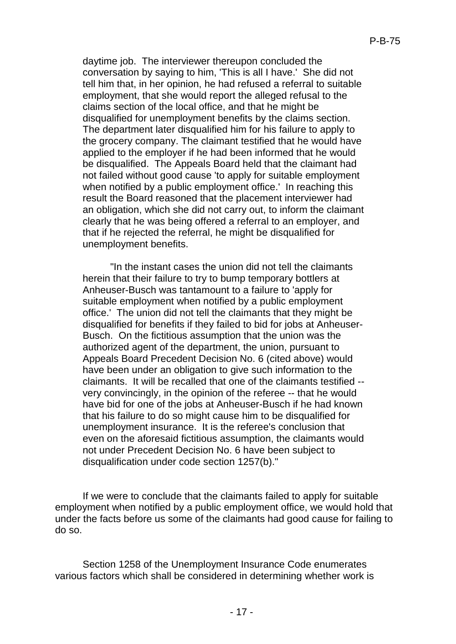daytime job. The interviewer thereupon concluded the conversation by saying to him, 'This is all I have.' She did not tell him that, in her opinion, he had refused a referral to suitable employment, that she would report the alleged refusal to the claims section of the local office, and that he might be disqualified for unemployment benefits by the claims section. The department later disqualified him for his failure to apply to the grocery company. The claimant testified that he would have applied to the employer if he had been informed that he would be disqualified. The Appeals Board held that the claimant had not failed without good cause 'to apply for suitable employment when notified by a public employment office.' In reaching this result the Board reasoned that the placement interviewer had an obligation, which she did not carry out, to inform the claimant clearly that he was being offered a referral to an employer, and that if he rejected the referral, he might be disqualified for unemployment benefits.

"In the instant cases the union did not tell the claimants herein that their failure to try to bump temporary bottlers at Anheuser-Busch was tantamount to a failure to 'apply for suitable employment when notified by a public employment office.' The union did not tell the claimants that they might be disqualified for benefits if they failed to bid for jobs at Anheuser-Busch. On the fictitious assumption that the union was the authorized agent of the department, the union, pursuant to Appeals Board Precedent Decision No. 6 (cited above) would have been under an obligation to give such information to the claimants. It will be recalled that one of the claimants testified - very convincingly, in the opinion of the referee -- that he would have bid for one of the jobs at Anheuser-Busch if he had known that his failure to do so might cause him to be disqualified for unemployment insurance. It is the referee's conclusion that even on the aforesaid fictitious assumption, the claimants would not under Precedent Decision No. 6 have been subject to disqualification under code section 1257(b)."

If we were to conclude that the claimants failed to apply for suitable employment when notified by a public employment office, we would hold that under the facts before us some of the claimants had good cause for failing to do so.

Section 1258 of the Unemployment Insurance Code enumerates various factors which shall be considered in determining whether work is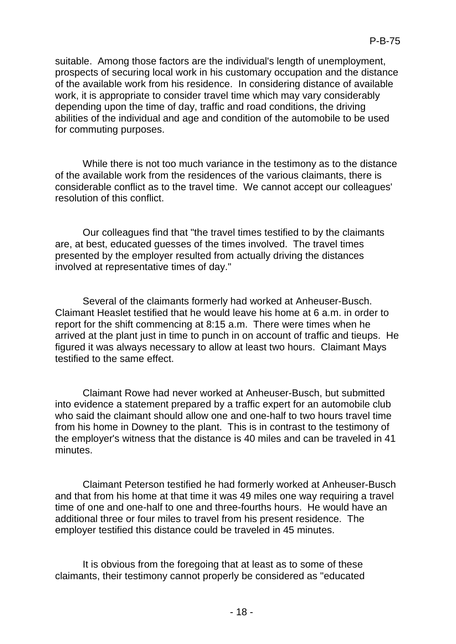suitable. Among those factors are the individual's length of unemployment, prospects of securing local work in his customary occupation and the distance of the available work from his residence. In considering distance of available work, it is appropriate to consider travel time which may vary considerably depending upon the time of day, traffic and road conditions, the driving abilities of the individual and age and condition of the automobile to be used for commuting purposes.

While there is not too much variance in the testimony as to the distance of the available work from the residences of the various claimants, there is considerable conflict as to the travel time. We cannot accept our colleagues' resolution of this conflict.

Our colleagues find that "the travel times testified to by the claimants are, at best, educated guesses of the times involved. The travel times presented by the employer resulted from actually driving the distances involved at representative times of day."

Several of the claimants formerly had worked at Anheuser-Busch. Claimant Heaslet testified that he would leave his home at 6 a.m. in order to report for the shift commencing at 8:15 a.m. There were times when he arrived at the plant just in time to punch in on account of traffic and tieups. He figured it was always necessary to allow at least two hours. Claimant Mays testified to the same effect.

Claimant Rowe had never worked at Anheuser-Busch, but submitted into evidence a statement prepared by a traffic expert for an automobile club who said the claimant should allow one and one-half to two hours travel time from his home in Downey to the plant. This is in contrast to the testimony of the employer's witness that the distance is 40 miles and can be traveled in 41 minutes.

Claimant Peterson testified he had formerly worked at Anheuser-Busch and that from his home at that time it was 49 miles one way requiring a travel time of one and one-half to one and three-fourths hours. He would have an additional three or four miles to travel from his present residence. The employer testified this distance could be traveled in 45 minutes.

It is obvious from the foregoing that at least as to some of these claimants, their testimony cannot properly be considered as "educated